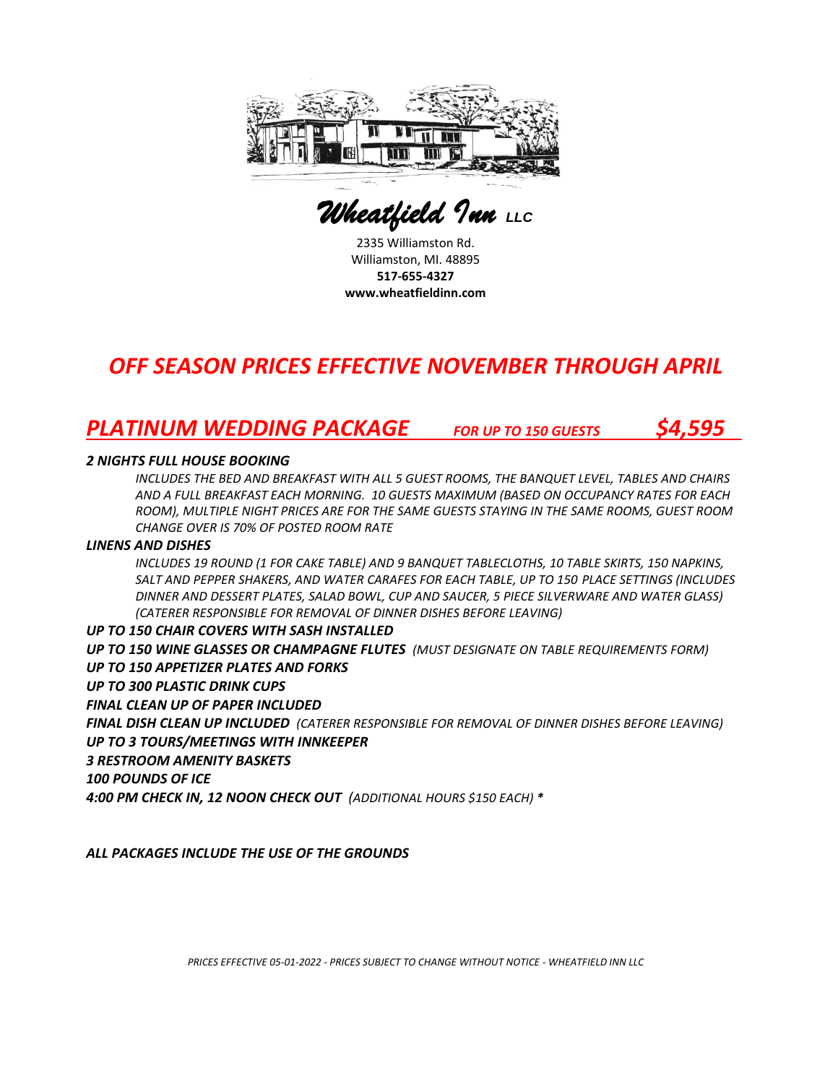

 *Wheatfield Inn LLC* 

2335 Williamston Rd. Williamston, MI. 48895 **517-655-4327 www.wheatfieldinn.com**

# *OFF SEASON PRICES EFFECTIVE NOVEMBER THROUGH APRIL*

## *PLATINUM WEDDING PACKAGE FOR UP TO 150 GUESTS \$4,595*

### *2 NIGHTS FULL HOUSE BOOKING*

*INCLUDES THE BED AND BREAKFAST WITH ALL 5 GUEST ROOMS, THE BANQUET LEVEL, TABLES AND CHAIRS AND A FULL BREAKFAST EACH MORNING. 10 GUESTS MAXIMUM (BASED ON OCCUPANCY RATES FOR EACH ROOM), MULTIPLE NIGHT PRICES ARE FOR THE SAME GUESTS STAYING IN THE SAME ROOMS, GUEST ROOM CHANGE OVER IS 70% OF POSTED ROOM RATE* 

### *LINENS AND DISHES*

*INCLUDES 19 ROUND (1 FOR CAKE TABLE) AND 9 BANQUET TABLECLOTHS, 10 TABLE SKIRTS, 150 NAPKINS, SALT AND PEPPER SHAKERS, AND WATER CARAFES FOR EACH TABLE, UP TO 150 PLACE SETTINGS (INCLUDES DINNER AND DESSERT PLATES, SALAD BOWL, CUP AND SAUCER, 5 PIECE SILVERWARE AND WATER GLASS) (CATERER RESPONSIBLE FOR REMOVAL OF DINNER DISHES BEFORE LEAVING)*

### *UP TO 150 CHAIR COVERS WITH SASH INSTALLED*

*UP TO 150 WINE GLASSES OR CHAMPAGNE FLUTES (MUST DESIGNATE ON TABLE REQUIREMENTS FORM) UP TO 150 APPETIZER PLATES AND FORKS*

*UP TO 300 PLASTIC DRINK CUPS*

*FINAL CLEAN UP OF PAPER INCLUDED*

*FINAL DISH CLEAN UP INCLUDED (CATERER RESPONSIBLE FOR REMOVAL OF DINNER DISHES BEFORE LEAVING) UP TO 3 TOURS/MEETINGS WITH INNKEEPER*

*3 RESTROOM AMENITY BASKETS*

*100 POUNDS OF ICE*

*4:00 PM CHECK IN, 12 NOON CHECK OUT (ADDITIONAL HOURS \$150 EACH) \**

*ALL PACKAGES INCLUDE THE USE OF THE GROUNDS*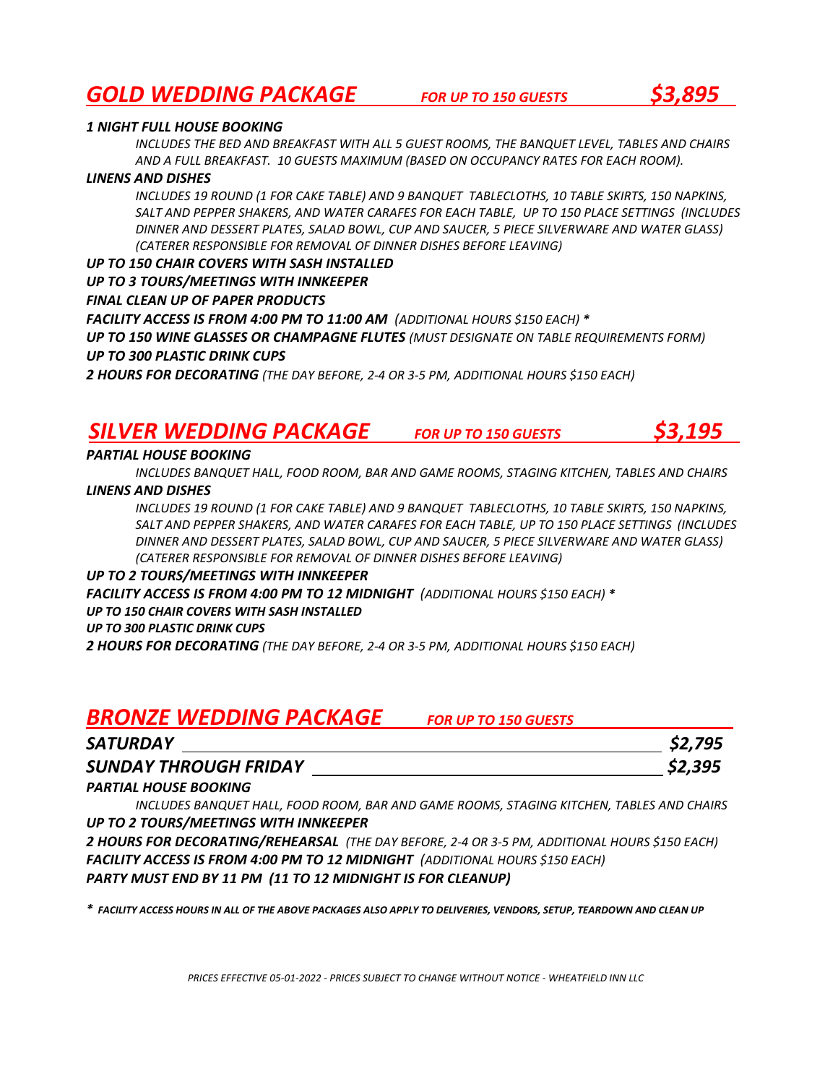### *GOLD WEDDING PACKAGE FOR UP TO 150 GUESTS \$3,895*

#### *1 NIGHT FULL HOUSE BOOKING*

*INCLUDES THE BED AND BREAKFAST WITH ALL 5 GUEST ROOMS, THE BANQUET LEVEL, TABLES AND CHAIRS AND A FULL BREAKFAST. 10 GUESTS MAXIMUM (BASED ON OCCUPANCY RATES FOR EACH ROOM).*

#### *LINENS AND DISHES*

*INCLUDES 19 ROUND (1 FOR CAKE TABLE) AND 9 BANQUET TABLECLOTHS, 10 TABLE SKIRTS, 150 NAPKINS, SALT AND PEPPER SHAKERS, AND WATER CARAFES FOR EACH TABLE, UP TO 150 PLACE SETTINGS (INCLUDES DINNER AND DESSERT PLATES, SALAD BOWL, CUP AND SAUCER, 5 PIECE SILVERWARE AND WATER GLASS) (CATERER RESPONSIBLE FOR REMOVAL OF DINNER DISHES BEFORE LEAVING)*

*UP TO 150 CHAIR COVERS WITH SASH INSTALLED* 

*UP TO 3 TOURS/MEETINGS WITH INNKEEPER*

*FINAL CLEAN UP OF PAPER PRODUCTS*

*FACILITY ACCESS IS FROM 4:00 PM TO 11:00 AM (ADDITIONAL HOURS \$150 EACH) \**

*UP TO 150 WINE GLASSES OR CHAMPAGNE FLUTES (MUST DESIGNATE ON TABLE REQUIREMENTS FORM) UP TO 300 PLASTIC DRINK CUPS*

*2 HOURS FOR DECORATING (THE DAY BEFORE, 2-4 OR 3-5 PM, ADDITIONAL HOURS \$150 EACH)*

### *SILVER WEDDING PACKAGE FOR UP TO 150 GUESTS \$3,195*

### *PARTIAL HOUSE BOOKING*

*INCLUDES BANQUET HALL, FOOD ROOM, BAR AND GAME ROOMS, STAGING KITCHEN, TABLES AND CHAIRS*

*LINENS AND DISHES*

*INCLUDES 19 ROUND (1 FOR CAKE TABLE) AND 9 BANQUET TABLECLOTHS, 10 TABLE SKIRTS, 150 NAPKINS, SALT AND PEPPER SHAKERS, AND WATER CARAFES FOR EACH TABLE, UP TO 150 PLACE SETTINGS (INCLUDES DINNER AND DESSERT PLATES, SALAD BOWL, CUP AND SAUCER, 5 PIECE SILVERWARE AND WATER GLASS) (CATERER RESPONSIBLE FOR REMOVAL OF DINNER DISHES BEFORE LEAVING)*

### *UP TO 2 TOURS/MEETINGS WITH INNKEEPER*

*FACILITY ACCESS IS FROM 4:00 PM TO 12 MIDNIGHT (ADDITIONAL HOURS \$150 EACH) \* UP TO 150 CHAIR COVERS WITH SASH INSTALLED UP TO 300 PLASTIC DRINK CUPS 2 HOURS FOR DECORATING (THE DAY BEFORE, 2-4 OR 3-5 PM, ADDITIONAL HOURS \$150 EACH)*

### *BRONZE WEDDING PACKAGE FOR UP TO 150 GUESTS*

| SATURDAY              | \$2,795 |
|-----------------------|---------|
| SUNDAY THROUGH FRIDAY | \$2,395 |

### *PARTIAL HOUSE BOOKING*

*INCLUDES BANQUET HALL, FOOD ROOM, BAR AND GAME ROOMS, STAGING KITCHEN, TABLES AND CHAIRS UP TO 2 TOURS/MEETINGS WITH INNKEEPER*

*2 HOURS FOR DECORATING/REHEARSAL (THE DAY BEFORE, 2-4 OR 3-5 PM, ADDITIONAL HOURS \$150 EACH) FACILITY ACCESS IS FROM 4:00 PM TO 12 MIDNIGHT (ADDITIONAL HOURS \$150 EACH) PARTY MUST END BY 11 PM (11 TO 12 MIDNIGHT IS FOR CLEANUP)*

*\* FACILITY ACCESS HOURS IN ALL OF THE ABOVE PACKAGES ALSO APPLY TO DELIVERIES, VENDORS, SETUP, TEARDOWN AND CLEAN UP*